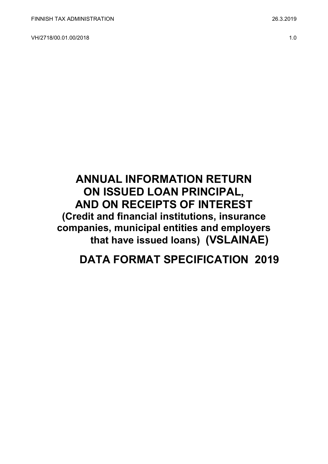VH/2718/00.01.00/2018 1.0

# **ANNUAL INFORMATION RETURN ON ISSUED LOAN PRINCIPAL, AND ON RECEIPTS OF INTEREST (Credit and financial institutions, insurance companies, municipal entities and employers that have issued loans) (VSLAINAE)**

# **DATA FORMAT SPECIFICATION 2019**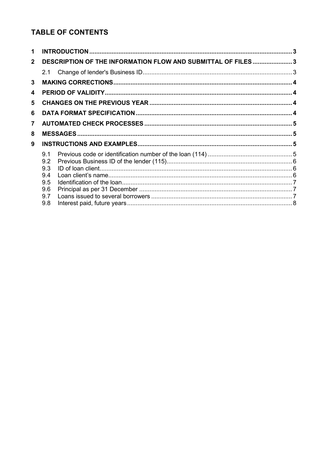# **TABLE OF CONTENTS**

| 1            |                                                              |  |  |  |  |  |  |
|--------------|--------------------------------------------------------------|--|--|--|--|--|--|
| $\mathbf{2}$ | DESCRIPTION OF THE INFORMATION FLOW AND SUBMITTAL OF FILES 3 |  |  |  |  |  |  |
|              | 2.1                                                          |  |  |  |  |  |  |
| 3            |                                                              |  |  |  |  |  |  |
| 4            |                                                              |  |  |  |  |  |  |
| 5            |                                                              |  |  |  |  |  |  |
| 6            |                                                              |  |  |  |  |  |  |
| 7            |                                                              |  |  |  |  |  |  |
| 8            |                                                              |  |  |  |  |  |  |
| 9            |                                                              |  |  |  |  |  |  |
|              | 9.1                                                          |  |  |  |  |  |  |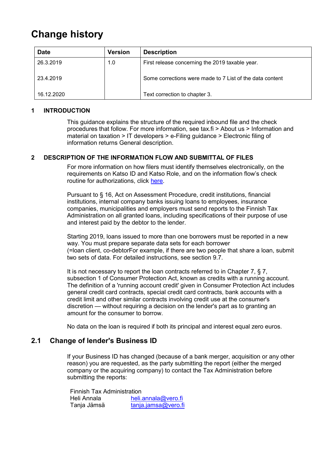# **Change history**

| <b>Date</b> | <b>Version</b> | <b>Description</b>                                       |
|-------------|----------------|----------------------------------------------------------|
| 26.3.2019   | 1.0            | First release concerning the 2019 taxable year.          |
| 23.4.2019   |                | Some corrections were made to 7 List of the data content |
| 16.12.2020  |                | Text correction to chapter 3.                            |

#### <span id="page-2-0"></span>**1 INTRODUCTION**

This guidance explains the structure of the required inbound file and the check procedures that follow. For more information, see tax.fi > About us > Information and material on taxation > IT developers > e-Filing guidance > Electronic filing of information returns General description.

#### <span id="page-2-1"></span>**2 DESCRIPTION OF THE INFORMATION FLOW AND SUBMITTAL OF FILES**

For more information on how filers must identify themselves electronically, on the requirements on Katso ID and Katso Role, and on the information flow's check routine for authorizations, click [here.](https://www.ilmoitin.fi/webtamo/sivut/IlmoituslajiRoolit?kieli=en&tv=VSLAINAE)

Pursuant to § 16, Act on Assessment Procedure, credit institutions, financial institutions, internal company banks issuing loans to employees, insurance companies, municipalities and employers must send reports to the Finnish Tax Administration on all granted loans, including specifications of their purpose of use and interest paid by the debtor to the lender.

Starting 2019, loans issued to more than one borrowers must be reported in a new way. You must prepare separate data sets for each borrower (=loan client, co-debtorFor example, if there are two people that share a loan, submit two sets of data. For detailed instructions, see section 9.7.

It is not necessary to report the loan contracts referred to in Chapter 7, § 7, subsection 1 of Consumer Protection Act, known as credits with a running account. The definition of a 'running account credit' given in Consumer Protection Act includes general credit card contracts, special credit card contracts, bank accounts with a credit limit and other similar contracts involving credit use at the consumer's discretion — without requiring a decision on the lender's part as to granting an amount for the consumer to borrow.

No data on the loan is required if both its principal and interest equal zero euros.

#### <span id="page-2-2"></span>**2.1 Change of lender's Business ID**

If your Business ID has changed (because of a bank merger, acquisition or any other reason) you are requested, as the party submitting the report (either the merged company or the acquiring company) to contact the Tax Administration before submitting the reports:

Finnish Tax Administration Heli Annala heli.annala@vero.fi Tanja Jämsä [tanja.jamsa@vero.fi](mailto:tanja.jamsa@vero.fi)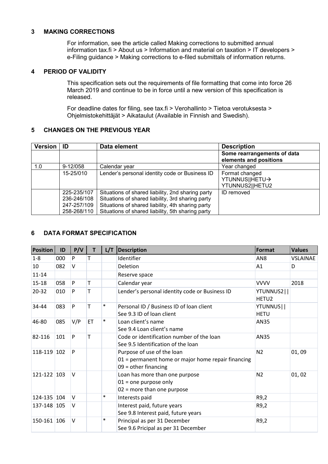#### <span id="page-3-0"></span>**3 MAKING CORRECTIONS**

For information, see the article called Making corrections to submitted annual information tax.fi > About us > Information and material on taxation > IT developers > e-Filing guidance > Making corrections to e-filed submittals of information returns.

#### <span id="page-3-1"></span>**4 PERIOD OF VALIDITY**

This specification sets out the requirements of file formatting that come into force 26 March 2019 and continue to be in force until a new version of this specification is released.

For deadline dates for filing, see tax.fi > Verohallinto > Tietoa verotuksesta > Ohjelmistokehittäjät > Aikataulut (Available in Finnish and Swedish).

#### <span id="page-3-2"></span>**5 CHANGES ON THE PREVIOUS YEAR**

| Version   ID |                                                          | Data element                                                                                                                                                                                                     | <b>Description</b>                                    |
|--------------|----------------------------------------------------------|------------------------------------------------------------------------------------------------------------------------------------------------------------------------------------------------------------------|-------------------------------------------------------|
|              |                                                          |                                                                                                                                                                                                                  | Some rearrangements of data<br>elements and positions |
| 1.0          | 9-12/058                                                 | Calendar year                                                                                                                                                                                                    | Year changed                                          |
|              | 15-25/010                                                | Lender's personal identity code or Business ID                                                                                                                                                                   | Format changed<br>YTUNNUS  HETU→<br>YTUNNUS2  HETU2   |
|              | 225-235/107<br>236-246/108<br>247-257/109<br>258-268/110 | Situations of shared liability, 2nd sharing party<br>Situations of shared liability, 3rd sharing party<br>Situations of shared liability, 4th sharing party<br>Situations of shared liability, 5th sharing party | ID removed                                            |

#### <span id="page-3-3"></span>**6 DATA FORMAT SPECIFICATION**

| <b>Position</b> | ID  | P/V    | T  | L/T    | <b>Description</b>                                                                                         | Format                          | <b>Values</b> |
|-----------------|-----|--------|----|--------|------------------------------------------------------------------------------------------------------------|---------------------------------|---------------|
| $1 - 8$         | 000 | P      | T  |        | Identifier                                                                                                 | AN <sub>8</sub>                 | VSLAINAE      |
| 10              | 082 | V      |    |        | <b>Deletion</b>                                                                                            | A1                              | D             |
| $11 - 14$       |     |        |    |        | Reserve space                                                                                              |                                 |               |
| $15 - 18$       | 058 | P      | Т  |        | Calendar year                                                                                              | <b>VVVV</b>                     | 2018          |
| $20 - 32$       | 010 | P      | т  |        | Lender's personal identity code or Business ID                                                             | YTUNNUS2  <br>HETU <sub>2</sub> |               |
| 34-44           | 083 | P      |    | $\ast$ | Personal ID / Business ID of loan client<br>See 9.3 ID of loan client                                      | YTUNNUS  <br><b>HETU</b>        |               |
| 46-80           | 085 | V/P    | ET | $\ast$ | Loan client's name<br>See 9.4 Loan client's name                                                           | AN35                            |               |
| 82-116          | 101 | P      | т  |        | Code or identification number of the loan<br>See 9.5 Identification of the loan                            | AN35                            |               |
| 118-119 102     |     | P      |    |        | Purpose of use of the loan<br>01 = permanent home or major home repair financing<br>$09 =$ other financing | N <sub>2</sub>                  | 01,09         |
| 121-122 103     |     | $\vee$ |    |        | Loan has more than one purpose<br>$01$ = one purpose only<br>$02$ = more than one purpose                  | N <sub>2</sub>                  | 01, 02        |
| 124-135 104     |     | V      |    | $\ast$ | Interests paid                                                                                             | R9,2                            |               |
| 137-148 105     |     | $\vee$ |    |        | Interest paid, future years<br>See 9.8 Interest paid, future years                                         | R9,2                            |               |
| 150-161 106     |     | $\vee$ |    | $\ast$ | Principal as per 31 December<br>See 9.6 Pricipal as per 31 December                                        | R9,2                            |               |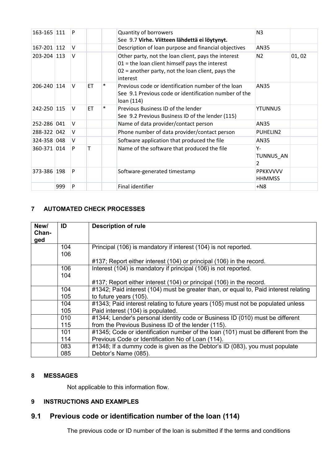| 163-165 111 |     | P      |           |        | Quantity of borrowers<br>See 9.7 Virhe. Viitteen lähdettä ei löytynyt.                                                                                                   | N <sub>3</sub>                   |       |
|-------------|-----|--------|-----------|--------|--------------------------------------------------------------------------------------------------------------------------------------------------------------------------|----------------------------------|-------|
| 167-201 112 |     | v      |           |        | Description of loan purpose and financial objectives                                                                                                                     | AN35                             |       |
| 203-204 113 |     | $\vee$ |           |        | Other party, not the loan client, pays the interest<br>$01$ = the loan client himself pays the interest<br>02 = another party, not the loan client, pays the<br>interest | N <sub>2</sub>                   | 01,02 |
| 206-240 114 |     | V      | <b>ET</b> | ∗      | Previous code or identification number of the loan<br>See 9.1 Previous code or identification number of the<br>loan (114)                                                | AN35                             |       |
| 242-250 115 |     | V      | ET        | $\ast$ | Previous Business ID of the lender<br>See 9.2 Previous Business ID of the lender (115)                                                                                   | <b>YTUNNUS</b>                   |       |
| 252-286 041 |     | v      |           |        | Name of data provider/contact person                                                                                                                                     | AN35                             |       |
| 288-322 042 |     | v      |           |        | Phone number of data provider/contact person                                                                                                                             | PUHELIN2                         |       |
| 324-358 048 |     | V      |           |        | Software application that produced the file                                                                                                                              | AN35                             |       |
| 360-371 014 |     | P      |           |        | Name of the software that produced the file                                                                                                                              | Υ-<br>TUNNUS_AN<br>2             |       |
| 373-386 198 |     | P      |           |        | Software-generated timestamp                                                                                                                                             | <b>PPKKVVVV</b><br><b>HHMMSS</b> |       |
|             | 999 | P      |           |        | Final identifier                                                                                                                                                         | $+N8$                            |       |

# <span id="page-4-0"></span>**7 AUTOMATED CHECK PROCESSES**

| New/<br>Chan-<br>ged | ID         | <b>Description of rule</b>                                                                                            |
|----------------------|------------|-----------------------------------------------------------------------------------------------------------------------|
|                      | 104<br>106 | Principal (106) is mandatory if interest (104) is not reported.                                                       |
|                      |            | #137; Report either interest (104) or principal (106) in the record.                                                  |
|                      | 106<br>104 | Interest (104) is mandatory if principal (106) is not reported.                                                       |
|                      |            | #137; Report either interest (104) or principal (106) in the record.                                                  |
|                      | 104        | #1342; Paid interest (104) must be greater than, or equal to, Paid interest relating                                  |
|                      | 105        | to future years (105).                                                                                                |
|                      | 104<br>105 | #1343; Paid interest relating to future years (105) must not be populated unless<br>Paid interest (104) is populated. |
|                      | 010        | #1344; Lender's personal identity code or Business ID (010) must be different                                         |
|                      | 115        | from the Previous Business ID of the lender (115).                                                                    |
|                      | 101        | #1345; Code or identification number of the loan (101) must be different from the                                     |
|                      | 114        | Previous Code or Identification No of Loan (114).                                                                     |
|                      | 083        | #1348; If a dummy code is given as the Debtor's ID (083), you must populate                                           |
|                      | 085        | Debtor's Name (085).                                                                                                  |

## <span id="page-4-1"></span>**8 MESSAGES**

Not applicable to this information flow.

# <span id="page-4-2"></span>**9 INSTRUCTIONS AND EXAMPLES**

# <span id="page-4-3"></span>**9.1 Previous code or identification number of the loan (114)**

The previous code or ID number of the loan is submitted if the terms and conditions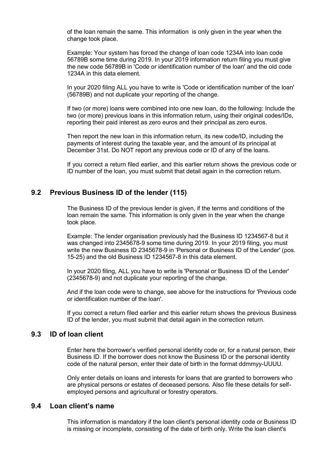of the loan remain the same. This information is only given in the year when the change took place.

Example: Your system has forced the change of loan code 1234A into loan code 56789B some time during 2019. In your 2019 information return filing you must give the new code 56789B in 'Code or identification number of the loan' and the old code 1234A in this data element.

In your 2020 filing ALL you have to write is 'Code or identification number of the loan' (56789B) and not duplicate your reporting of the change.

If two (or more) loans were combined into one new loan, do the following: Include the two (or more) previous loans in this information return, using their original codes/IDs, reporting their paid interest as zero euros and their principal as zero euros.

Then report the new loan in this information return, its new code/ID, including the payments of interest during the taxable year, and the amount of its principal at December 31st. Do NOT report any previous code or ID of any of the loans.

If you correct a return filed earlier, and this earlier return shows the previous code or ID number of the loan, you must submit that detail again in the correction return.

## <span id="page-5-0"></span>**9.2 Previous Business ID of the lender (115)**

The Business ID of the previous lender is given, if the terms and conditions of the loan remain the same. This information is only given in the year when the change took place.

Example: The lender organisation previously had the Business ID 1234567-8 but it was changed into 2345678-9 some time during 2019. In your 2019 filing, you must write the new Business ID 2345678-9 in 'Personal or Business ID of the Lender' (pos. 15-25) and the old Business ID 1234567-8 in this data element.

In your 2020 filing, ALL you have to write is 'Personal or Business ID of the Lender' (2345678-9) and not duplicate your reporting of the change.

And if the loan code were to change, see above for the instructions for 'Previous code or identification number of the loan'.

If you correct a return filed earlier and this earlier return shows the previous Business ID of the lender, you must submit that detail again in the correction return.

#### <span id="page-5-1"></span>**9.3 ID of loan client**

Enter here the borrower's verified personal identity code or, for a natural person, their Business ID. If the borrower does not know the Business ID or the personal identity code of the natural person, enter their date of birth in the format ddmmyy-UUUU.

Only enter details on loans and interests for loans that are granted to borrowers who are physical persons or estates of deceased persons. Also file these details for selfemployed persons and agricultural or forestry operators.

# <span id="page-5-2"></span>**9.4 Loan client's name**

This information is mandatory if the loan client's personal identity code or Business ID is missing or incomplete, consisting of the date of birth only. Write the loan client's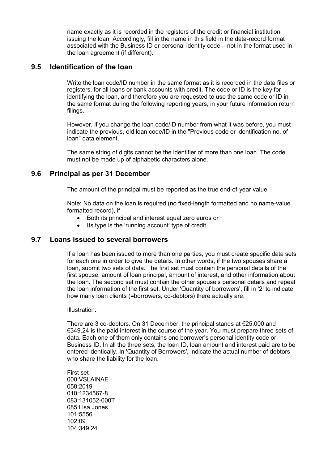name exactly as it is recorded in the registers of the credit or financial institution issuing the loan. Accordingly, fill in the name in this field in the data-record format associated with the Business ID or personal identity code – not in the format used in the loan agreement (if different).

## <span id="page-6-0"></span>**9.5 Identification of the loan**

Write the loan code/ID number in the same format as it is recorded in the data files or registers, for all loans or bank accounts with credit. The code or ID is the key for identifying the loan, and therefore you are requested to use the same code or ID in the same format during the following reporting years, in your future information return filings.

However, if you change the loan code/ID number from what it was before, you must indicate the previous, old loan code/ID in the "Previous code or identification no. of loan" data element.

The same string of digits cannot be the identifier of more than one loan. The code must not be made up of alphabetic characters alone.

## <span id="page-6-1"></span>**9.6 Principal as per 31 December**

The amount of the principal must be reported as the true end-of-year value.

Note: No data on the loan is required (no fixed-length formatted and no name-value formatted record), if

- Both its principal and interest equal zero euros or
- Its type is the 'running account' type of credit

## <span id="page-6-2"></span>**9.7 Loans issued to several borrowers**

If a loan has been issued to more than one parties, you must create specific data sets for each one in order to give the details. In other words, if the two spouses share a loan, submit two sets of data. The first set must contain the personal details of the first spouse, amount of loan principal, amount of interest, and other information about the loan. The second set must contain the other spouse's personal details and repeat the loan information of the first set. Under 'Quantity of borrowers', fill in '2' to indicate how many loan clients (=borrowers, co-debtors) there actually are.

Illustration:

There are 3 co-debtors. On 31 December, the principal stands at €25,000 and €349.24 is the paid interest in the course of the year. You must prepare three sets of data. Each one of them only contains one borrower's personal identity code or Business ID. In all the three sets, the loan ID, loan amount and interest paid are to be entered identically. In 'Quantity of Borrowers', indicate the actual number of debtors who share the liability for the loan.

First set 000:VSLAINAE 058:2019 010:1234567-8 083:131052-000T 085:Lisa Jones 101:5556 102:09 104:349,24